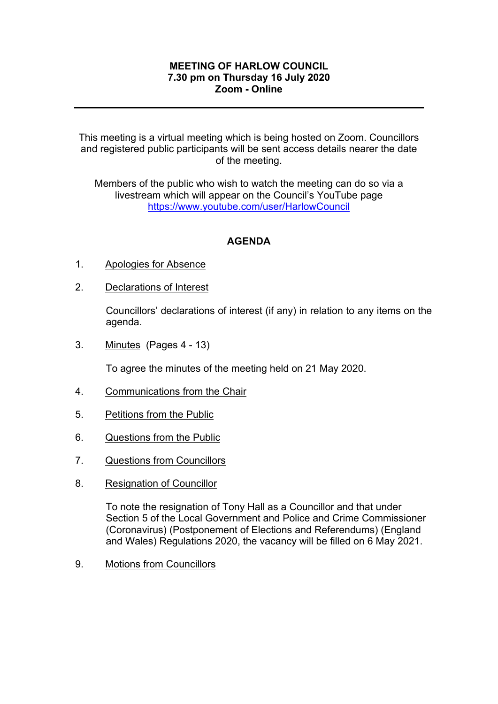## **MEETING OF HARLOW COUNCIL 7.30 pm on Thursday 16 July 2020 Zoom - Online**

This meeting is a virtual meeting which is being hosted on Zoom. Councillors and registered public participants will be sent access details nearer the date of the meeting.

Members of the public who wish to watch the meeting can do so via a livestream which will appear on the Council's YouTube page <https://www.youtube.com/user/HarlowCouncil>

## **AGENDA**

- 1. Apologies for Absence
- 2. Declarations of Interest

Councillors' declarations of interest (if any) in relation to any items on the agenda.

3. Minutes(Pages 4 - 13)

To agree the minutes of the meeting held on 21 May 2020.

- 4. Communications from the Chair
- 5. Petitions from the Public
- 6. Questions from the Public
- 7. Questions from Councillors
- 8. Resignation of Councillor

To note the resignation of Tony Hall as a Councillor and that under Section 5 of the Local Government and Police and Crime Commissioner (Coronavirus) (Postponement of Elections and Referendums) (England and Wales) Regulations 2020, the vacancy will be filled on 6 May 2021.

9. Motions from Councillors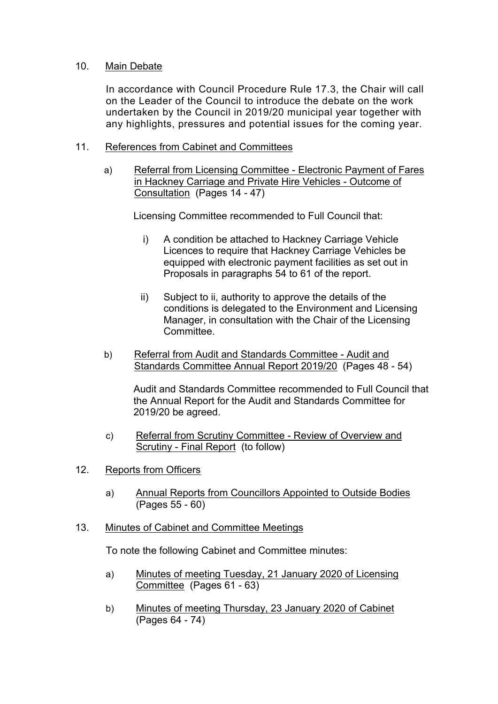## 10. Main Debate

In accordance with Council Procedure Rule 17.3, the Chair will call on the Leader of the Council to introduce the debate on the work undertaken by the Council in 2019/20 municipal year together with any highlights, pressures and potential issues for the coming year.

## 11. References from Cabinet and Committees

a) Referral from Licensing Committee - Electronic Payment of Fares in Hackney Carriage and Private Hire Vehicles - Outcome of Consultation (Pages 14 - 47)

Licensing Committee recommended to Full Council that:

- i) A condition be attached to Hackney Carriage Vehicle Licences to require that Hackney Carriage Vehicles be equipped with electronic payment facilities as set out in Proposals in paragraphs 54 to 61 of the report.
- ii) Subject to ii, authority to approve the details of the conditions is delegated to the Environment and Licensing Manager, in consultation with the Chair of the Licensing **Committee.**
- b) Referral from Audit and Standards Committee Audit and Standards Committee Annual Report 2019/20 (Pages 48 - 54)

Audit and Standards Committee recommended to Full Council that the Annual Report for the Audit and Standards Committee for 2019/20 be agreed.

- c) Referral from Scrutiny Committee Review of Overview and Scrutiny - Final Report (to follow)
- 12. Reports from Officers
	- a) Annual Reports from Councillors Appointed to Outside Bodies (Pages 55 - 60)
- 13. Minutes of Cabinet and Committee Meetings

To note the following Cabinet and Committee minutes:

- a) Minutes of meeting Tuesday, 21 January 2020 of Licensing Committee (Pages 61 - 63)
- b) Minutes of meeting Thursday, 23 January 2020 of Cabinet (Pages 64 - 74)